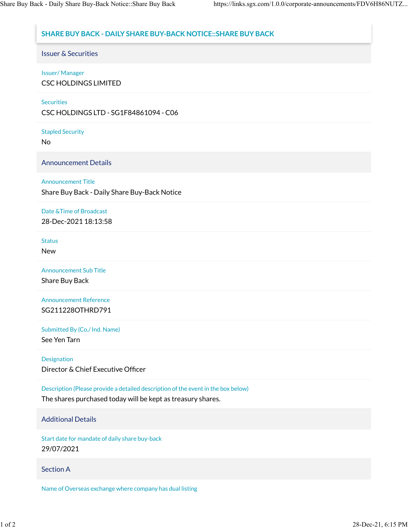# **SHARE BUY BACK - DAILY SHARE BUY-BACK NOTICE::SHARE BUY BACK**

Issuer & Securities

## Issuer/ Manager

CSC HOLDINGS LIMITED

### **Securities**

CSC HOLDINGS LTD - SG1F84861094 - C06

Stapled Security

No

Announcement Details

## Announcement Title

Share Buy Back - Daily Share Buy-Back Notice

# Date &Time of Broadcast

28-Dec-2021 18:13:58

#### Status

New

Announcement Sub Title

Share Buy Back

Announcement Reference SG211228OTHRD791

Submitted By (Co./ Ind. Name)

See Yen Tarn

#### Designation

Director & Chief Executive Officer

Description (Please provide a detailed description of the event in the box below)

The shares purchased today will be kept as treasury shares.

# Additional Details

Start date for mandate of daily share buy-back 29/07/2021

# Section A

Name of Overseas exchange where company has dual listing